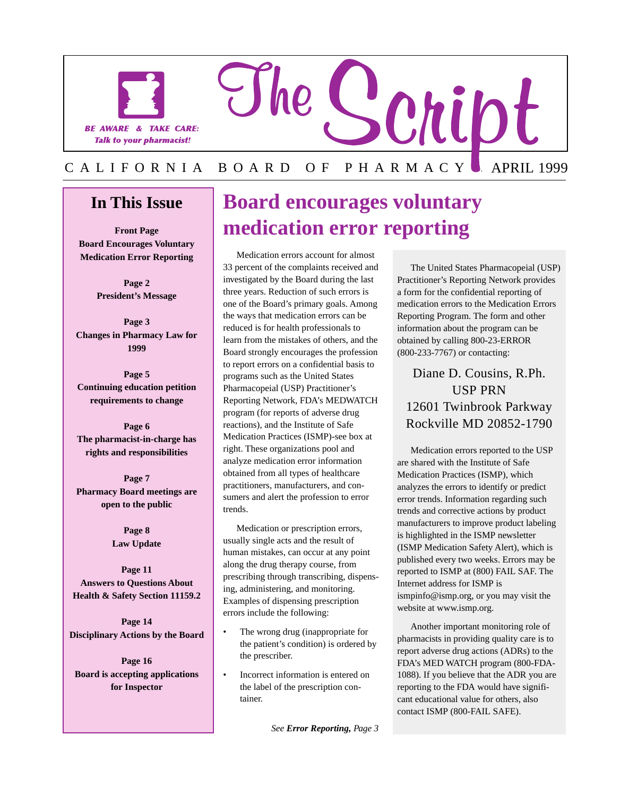

### **In This Issue**

**Front Page Board Encourages Voluntary Medication Error Reporting** 

> **Page 2 President's Message**

**Page 3 Changes in Pharmacy Law for 1999** 

**Page 5 Continuing education petition requirements to change** 

**Page 6 The pharmacist-in-charge has rights and responsibilities** 

**Page 7 Pharmacy Board meetings are open to the public** 

> **Page 8 Law Update**

**Page 11 Answers to Questions About Health & Safety Section 11159.2** 

**Page 14 Disciplinary Actions by the Board** 

**Page 16 Board is accepting applications for Inspector** 

L

### **Board encourages voluntary medication error reporting**

Medication errors account for almost 33 percent of the complaints received and investigated by the Board during the last three years. Reduction of such errors is one of the Board's primary goals. Among the ways that medication errors can be reduced is for health professionals to learn from the mistakes of others, and the Board strongly encourages the profession to report errors on a confidential basis to programs such as the United States Pharmacopeial (USP) Practitioner's Reporting Network, FDA's MEDWATCH program (for reports of adverse drug reactions), and the Institute of Safe Medication Practices (ISMP)-see box at right. These organizations pool and analyze medication error information obtained from all types of healthcare practitioners, manufacturers, and consumers and alert the profession to error trends.

Medication or prescription errors, usually single acts and the result of human mistakes, can occur at any point along the drug therapy course, from prescribing through transcribing, dispensing, administering, and monitoring. Examples of dispensing prescription errors include the following:

- The wrong drug (inappropriate for the patient's condition) is ordered by the prescriber.
- Incorrect information is entered on the label of the prescription container.

*See Error Reporting, Page 3* 

The United States Pharmacopeial (USP) Practitioner's Reporting Network provides a form for the confidential reporting of medication errors to the Medication Errors Reporting Program. The form and other information about the program can be obtained by calling 800-23-ERROR (800-233-7767) or contacting:

### Diane D. Cousins, R.Ph. USP PRN 12601 Twinbrook Parkway Rockville MD 20852-1790

Medication errors reported to the USP are shared with the Institute of Safe Medication Practices (ISMP), which analyzes the errors to identify or predict error trends. Information regarding such trends and corrective actions by product manufacturers to improve product labeling is highlighted in the ISMP newsletter (ISMP Medication Safety Alert), which is published every two weeks. Errors may be reported to ISMP at (800) FAIL SAF. The Internet address for ISMP is [ismpinfo@ismp.org](mailto:ismpinfo@ismp.org), or you may visit the website at [www.ismp.org.](www.ismp.org)

Another important monitoring role of pharmacists in providing quality care is to report adverse drug actions (ADRs) to the FDA's MED WATCH program (800-FDA-1088). If you believe that the ADR you are reporting to the FDA would have significant educational value for others, also contact ISMP (800-FAIL SAFE).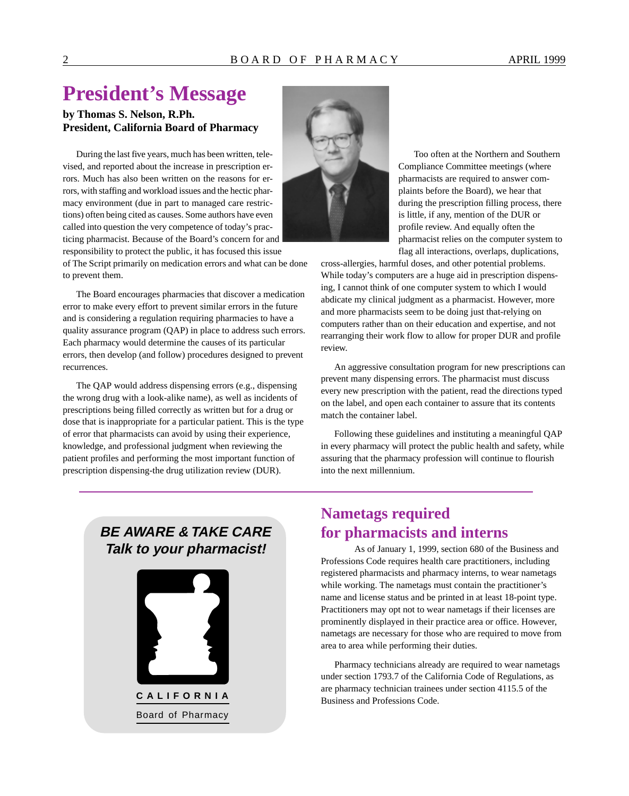## **President's Message**

### **by Thomas S. Nelson, R.Ph. President, California Board of Pharmacy**

During the last five years, much has been written, televised, and reported about the increase in prescription errors. Much has also been written on the reasons for errors, with staffing and workload issues and the hectic pharmacy environment (due in part to managed care restrictions) often being cited as causes. Some authors have even called into question the very competence of today's practicing pharmacist. Because of the Board's concern for and responsibility to protect the public, it has focused this issue

of The Script primarily on medication errors and what can be done to prevent them.

The Board encourages pharmacies that discover a medication error to make every effort to prevent similar errors in the future and is considering a regulation requiring pharmacies to have a quality assurance program (QAP) in place to address such errors. Each pharmacy would determine the causes of its particular errors, then develop (and follow) procedures designed to prevent recurrences.

The QAP would address dispensing errors (e.g., dispensing the wrong drug with a look-alike name), as well as incidents of prescriptions being filled correctly as written but for a drug or dose that is inappropriate for a particular patient. This is the type of error that pharmacists can avoid by using their experience, knowledge, and professional judgment when reviewing the patient profiles and performing the most important function of prescription dispensing-the drug utilization review (DUR).



Too often at the Northern and Southern Compliance Committee meetings (where pharmacists are required to answer complaints before the Board), we hear that during the prescription filling process, there is little, if any, mention of the DUR or profile review. And equally often the pharmacist relies on the computer system to flag all interactions, overlaps, duplications,

cross-allergies, harmful doses, and other potential problems. While today's computers are a huge aid in prescription dispensing, I cannot think of one computer system to which I would abdicate my clinical judgment as a pharmacist. However, more and more pharmacists seem to be doing just that-relying on computers rather than on their education and expertise, and not rearranging their work flow to allow for proper DUR and profile review.

An aggressive consultation program for new prescriptions can prevent many dispensing errors. The pharmacist must discuss every new prescription with the patient, read the directions typed on the label, and open each container to assure that its contents match the container label.

Following these guidelines and instituting a meaningful QAP in every pharmacy will protect the public health and safety, while assuring that the pharmacy profession will continue to flourish into the next millennium.

### **BE AWARE & TAKE CARE Talk to your pharmacist!**



### **Nametags required for pharmacists and interns**

As of January 1, 1999, section 680 of the Business and Professions Code requires health care practitioners, including registered pharmacists and pharmacy interns, to wear nametags while working. The nametags must contain the practitioner's name and license status and be printed in at least 18-point type. Practitioners may opt not to wear nametags if their licenses are prominently displayed in their practice area or office. However, nametags are necessary for those who are required to move from area to area while performing their duties.

Pharmacy technicians already are required to wear nametags under section 1793.7 of the California Code of Regulations, as are pharmacy technician trainees under section 4115.5 of the Business and Professions Code.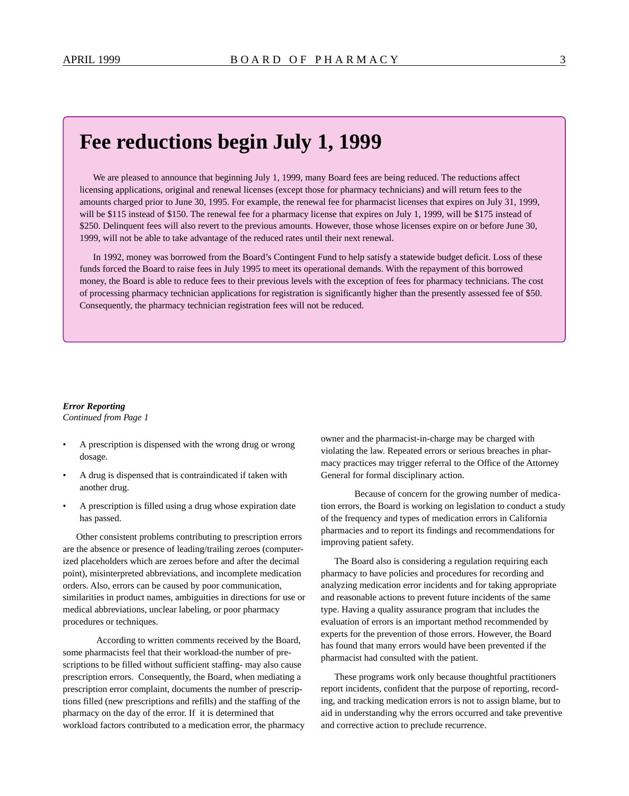### **Fee reductions begin July 1, 1999**

We are pleased to announce that beginning July 1, 1999, many Board fees are being reduced. The reductions affect licensing applications, original and renewal licenses (except those for pharmacy technicians) and will return fees to the amounts charged prior to June 30, 1995. For example, the renewal fee for pharmacist licenses that expires on July 31, 1999, will be \$115 instead of \$150. The renewal fee for a pharmacy license that expires on July 1, 1999, will be \$175 instead of \$250. Delinquent fees will also revert to the previous amounts. However, those whose licenses expire on or before June 30, 1999, will not be able to take advantage of the reduced rates until their next renewal.

In 1992, money was borrowed from the Board's Contingent Fund to help satisfy a statewide budget deficit. Loss of these funds forced the Board to raise fees in July 1995 to meet its operational demands. With the repayment of this borrowed money, the Board is able to reduce fees to their previous levels with the exception of fees for pharmacy technicians. The cost of processing pharmacy technician applications for registration is significantly higher than the presently assessed fee of \$50. Consequently, the pharmacy technician registration fees will not be reduced.

### *Error Reporting*

*Continued from Page 1* 

- A prescription is dispensed with the wrong drug or wrong dosage.
- A drug is dispensed that is contraindicated if taken with another drug.
- A prescription is filled using a drug whose expiration date has passed.

Other consistent problems contributing to prescription errors are the absence or presence of leading/trailing zeroes (computerized placeholders which are zeroes before and after the decimal point), misinterpreted abbreviations, and incomplete medication orders. Also, errors can be caused by poor communication, similarities in product names, ambiguities in directions for use or medical abbreviations, unclear labeling, or poor pharmacy procedures or techniques.

According to written comments received by the Board, some pharmacists feel that their workload-the number of prescriptions to be filled without sufficient staffing- may also cause prescription errors. Consequently, the Board, when mediating a prescription error complaint, documents the number of prescriptions filled (new prescriptions and refills) and the staffing of the pharmacy on the day of the error. If it is determined that workload factors contributed to a medication error, the pharmacy owner and the pharmacist-in-charge may be charged with violating the law. Repeated errors or serious breaches in pharmacy practices may trigger referral to the Office of the Attorney General for formal disciplinary action.

Because of concern for the growing number of medication errors, the Board is working on legislation to conduct a study of the frequency and types of medication errors in California pharmacies and to report its findings and recommendations for improving patient safety.

The Board also is considering a regulation requiring each pharmacy to have policies and procedures for recording and analyzing medication error incidents and for taking appropriate and reasonable actions to prevent future incidents of the same type. Having a quality assurance program that includes the evaluation of errors is an important method recommended by experts for the prevention of those errors. However, the Board has found that many errors would have been prevented if the pharmacist had consulted with the patient.

These programs work only because thoughtful practitioners report incidents, confident that the purpose of reporting, recording, and tracking medication errors is not to assign blame, but to aid in understanding why the errors occurred and take preventive and corrective action to preclude recurrence.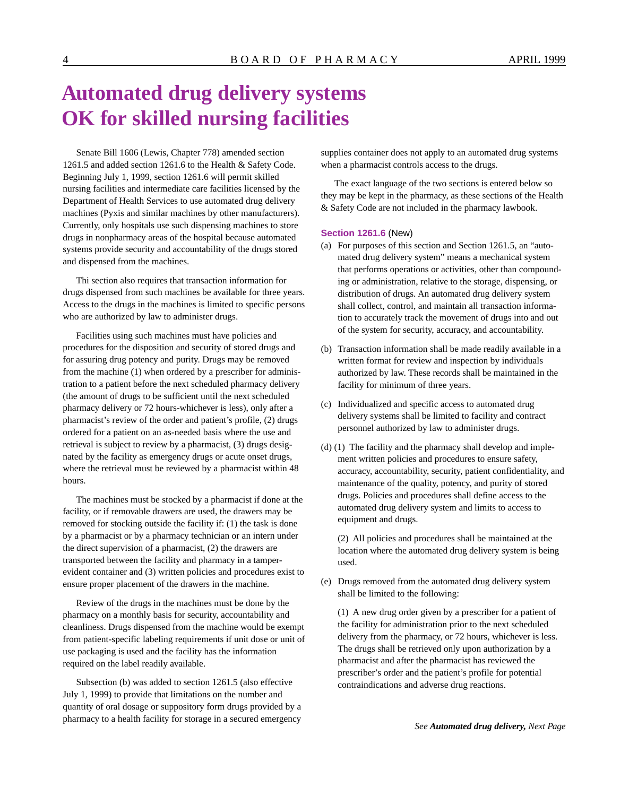## **Automated drug delivery systems OK for skilled nursing facilities**

Senate Bill 1606 (Lewis, Chapter 778) amended section 1261.5 and added section 1261.6 to the Health & Safety Code. Beginning July 1, 1999, section 1261.6 will permit skilled nursing facilities and intermediate care facilities licensed by the Department of Health Services to use automated drug delivery machines (Pyxis and similar machines by other manufacturers). Currently, only hospitals use such dispensing machines to store drugs in nonpharmacy areas of the hospital because automated systems provide security and accountability of the drugs stored and dispensed from the machines.

Thi section also requires that transaction information for drugs dispensed from such machines be available for three years. Access to the drugs in the machines is limited to specific persons who are authorized by law to administer drugs.

Facilities using such machines must have policies and procedures for the disposition and security of stored drugs and for assuring drug potency and purity. Drugs may be removed from the machine (1) when ordered by a prescriber for administration to a patient before the next scheduled pharmacy delivery (the amount of drugs to be sufficient until the next scheduled pharmacy delivery or 72 hours-whichever is less), only after a pharmacist's review of the order and patient's profile, (2) drugs ordered for a patient on an as-needed basis where the use and retrieval is subject to review by a pharmacist, (3) drugs designated by the facility as emergency drugs or acute onset drugs, where the retrieval must be reviewed by a pharmacist within 48 hours.

The machines must be stocked by a pharmacist if done at the facility, or if removable drawers are used, the drawers may be removed for stocking outside the facility if: (1) the task is done by a pharmacist or by a pharmacy technician or an intern under the direct supervision of a pharmacist, (2) the drawers are transported between the facility and pharmacy in a tamperevident container and (3) written policies and procedures exist to ensure proper placement of the drawers in the machine.

Review of the drugs in the machines must be done by the pharmacy on a monthly basis for security, accountability and cleanliness. Drugs dispensed from the machine would be exempt from patient-specific labeling requirements if unit dose or unit of use packaging is used and the facility has the information required on the label readily available.

Subsection (b) was added to section 1261.5 (also effective July 1, 1999) to provide that limitations on the number and quantity of oral dosage or suppository form drugs provided by a pharmacy to a health facility for storage in a secured emergency

supplies container does not apply to an automated drug systems when a pharmacist controls access to the drugs.

The exact language of the two sections is entered below so they may be kept in the pharmacy, as these sections of the Health & Safety Code are not included in the pharmacy lawbook.

#### **Section 1261.6** (New)

- (a) For purposes of this section and Section 1261.5, an "automated drug delivery system" means a mechanical system that performs operations or activities, other than compounding or administration, relative to the storage, dispensing, or distribution of drugs. An automated drug delivery system shall collect, control, and maintain all transaction information to accurately track the movement of drugs into and out of the system for security, accuracy, and accountability.
- (b) Transaction information shall be made readily available in a written format for review and inspection by individuals authorized by law. These records shall be maintained in the facility for minimum of three years.
- (c) Individualized and specific access to automated drug delivery systems shall be limited to facility and contract personnel authorized by law to administer drugs.
- (d) (1) The facility and the pharmacy shall develop and implement written policies and procedures to ensure safety, accuracy, accountability, security, patient confidentiality, and maintenance of the quality, potency, and purity of stored drugs. Policies and procedures shall define access to the automated drug delivery system and limits to access to equipment and drugs.

(2) All policies and procedures shall be maintained at the location where the automated drug delivery system is being used.

(e) Drugs removed from the automated drug delivery system shall be limited to the following:

(1) A new drug order given by a prescriber for a patient of the facility for administration prior to the next scheduled delivery from the pharmacy, or 72 hours, whichever is less. The drugs shall be retrieved only upon authorization by a pharmacist and after the pharmacist has reviewed the prescriber's order and the patient's profile for potential contraindications and adverse drug reactions.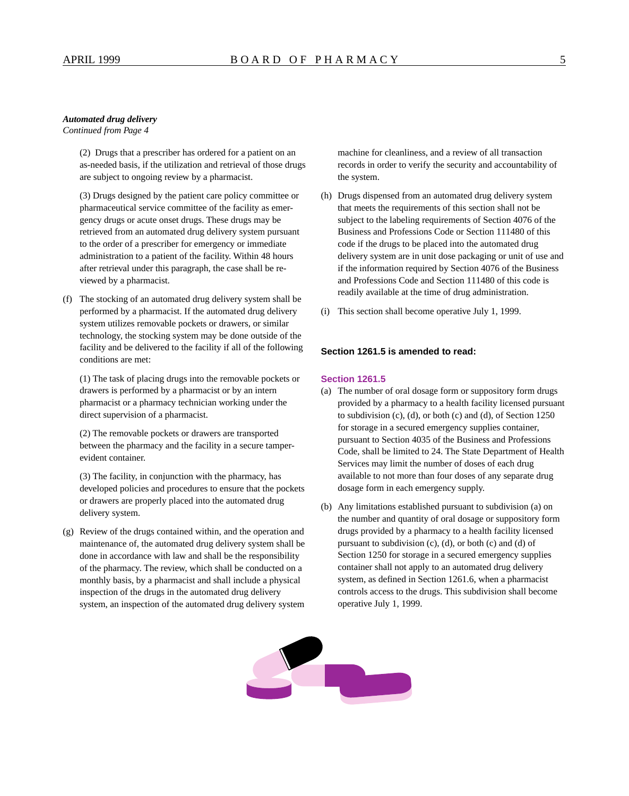#### *Automated drug delivery*

*Continued from Page 4* 

(2) Drugs that a prescriber has ordered for a patient on an as-needed basis, if the utilization and retrieval of those drugs are subject to ongoing review by a pharmacist.

(3) Drugs designed by the patient care policy committee or pharmaceutical service committee of the facility as emergency drugs or acute onset drugs. These drugs may be retrieved from an automated drug delivery system pursuant to the order of a prescriber for emergency or immediate administration to a patient of the facility. Within 48 hours after retrieval under this paragraph, the case shall be reviewed by a pharmacist.

(f) The stocking of an automated drug delivery system shall be performed by a pharmacist. If the automated drug delivery system utilizes removable pockets or drawers, or similar technology, the stocking system may be done outside of the facility and be delivered to the facility if all of the following conditions are met:

(1) The task of placing drugs into the removable pockets or drawers is performed by a pharmacist or by an intern pharmacist or a pharmacy technician working under the direct supervision of a pharmacist.

(2) The removable pockets or drawers are transported between the pharmacy and the facility in a secure tamperevident container.

(3) The facility, in conjunction with the pharmacy, has developed policies and procedures to ensure that the pockets or drawers are properly placed into the automated drug delivery system.

(g) Review of the drugs contained within, and the operation and maintenance of, the automated drug delivery system shall be done in accordance with law and shall be the responsibility of the pharmacy. The review, which shall be conducted on a monthly basis, by a pharmacist and shall include a physical inspection of the drugs in the automated drug delivery system, an inspection of the automated drug delivery system

machine for cleanliness, and a review of all transaction records in order to verify the security and accountability of the system.

- (h) Drugs dispensed from an automated drug delivery system that meets the requirements of this section shall not be subject to the labeling requirements of Section 4076 of the Business and Professions Code or Section 111480 of this code if the drugs to be placed into the automated drug delivery system are in unit dose packaging or unit of use and if the information required by Section 4076 of the Business and Professions Code and Section 111480 of this code is readily available at the time of drug administration.
- (i) This section shall become operative July 1, 1999.

### **Section 1261.5 is amended to read:**

#### **Section 1261.5**

- (a) The number of oral dosage form or suppository form drugs provided by a pharmacy to a health facility licensed pursuant to subdivision (c), (d), or both (c) and (d), of Section 1250 for storage in a secured emergency supplies container, pursuant to Section 4035 of the Business and Professions Code, shall be limited to 24. The State Department of Health Services may limit the number of doses of each drug available to not more than four doses of any separate drug dosage form in each emergency supply.
- (b) Any limitations established pursuant to subdivision (a) on the number and quantity of oral dosage or suppository form drugs provided by a pharmacy to a health facility licensed pursuant to subdivision (c), (d), or both (c) and (d) of Section 1250 for storage in a secured emergency supplies container shall not apply to an automated drug delivery system, as defined in Section 1261.6, when a pharmacist controls access to the drugs. This subdivision shall become operative July 1, 1999.

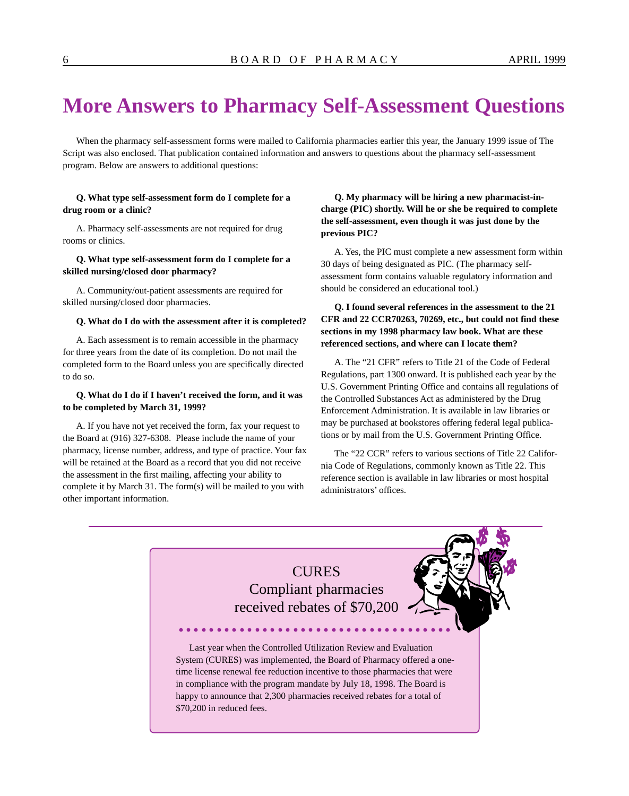### **More Answers to Pharmacy Self-Assessment Questions**

When the pharmacy self-assessment forms were mailed to California pharmacies earlier this year, the January 1999 issue of The Script was also enclosed. That publication contained information and answers to questions about the pharmacy self-assessment program. Below are answers to additional questions:

#### **Q. What type self-assessment form do I complete for a drug room or a clinic?**

A. Pharmacy self-assessments are not required for drug rooms or clinics.

#### **Q. What type self-assessment form do I complete for a skilled nursing/closed door pharmacy?**

A. Community/out-patient assessments are required for skilled nursing/closed door pharmacies.

#### **Q. What do I do with the assessment after it is completed?**

A. Each assessment is to remain accessible in the pharmacy for three years from the date of its completion. Do not mail the completed form to the Board unless you are specifically directed to do so.

#### **Q. What do I do if I haven't received the form, and it was to be completed by March 31, 1999?**

A. If you have not yet received the form, fax your request to the Board at (916) 327-6308. Please include the name of your pharmacy, license number, address, and type of practice. Your fax will be retained at the Board as a record that you did not receive the assessment in the first mailing, affecting your ability to complete it by March 31. The form(s) will be mailed to you with other important information.

### **Q. My pharmacy will be hiring a new pharmacist-incharge (PIC) shortly. Will he or she be required to complete the self-assessment, even though it was just done by the previous PIC?**

A. Yes, the PIC must complete a new assessment form within 30 days of being designated as PIC. (The pharmacy selfassessment form contains valuable regulatory information and should be considered an educational tool.)

### **Q. I found several references in the assessment to the 21 CFR and 22 CCR70263, 70269, etc., but could not find these sections in my 1998 pharmacy law book. What are these referenced sections, and where can I locate them?**

A. The "21 CFR" refers to Title 21 of the Code of Federal Regulations, part 1300 onward. It is published each year by the U.S. Government Printing Office and contains all regulations of the Controlled Substances Act as administered by the Drug Enforcement Administration. It is available in law libraries or may be purchased at bookstores offering federal legal publications or by mail from the U.S. Government Printing Office.

The "22 CCR" refers to various sections of Title 22 California Code of Regulations, commonly known as Title 22. This reference section is available in law libraries or most hospital administrators' offices.

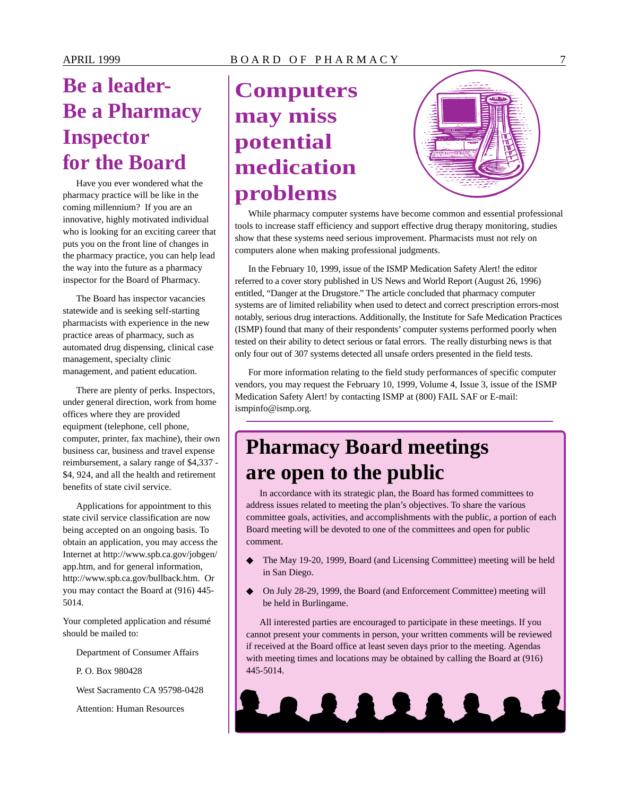# **Be a leader-Be a Pharmacy Inspector for the Board**

Have you ever wondered what the pharmacy practice will be like in the coming millennium? If you are an innovative, highly motivated individual who is looking for an exciting career that puts you on the front line of changes in the pharmacy practice, you can help lead the way into the future as a pharmacy inspector for the Board of Pharmacy.

The Board has inspector vacancies statewide and is seeking self-starting pharmacists with experience in the new practice areas of pharmacy, such as automated drug dispensing, clinical case management, specialty clinic management, and patient education.

There are plenty of perks. Inspectors, under general direction, work from home offices where they are provided equipment (telephone, cell phone, computer, printer, fax machine), their own business car, business and travel expense reimbursement, a salary range of \$4,337 - \$4, 924, and all the health and retirement benefits of state civil service.

Applications for appointment to this state civil service classification are now being accepted on an ongoing basis. To obtain an application, you may access the Internet at <http://www.spb.ca.gov/jobgen>/ app.htm, and for general information, <http://www.spb.ca.gov/bullback.htm>. Or you may contact the Board at (916) 445- 5014.

Your completed application and résumé should be mailed to:

Department of Consumer Affairs

P. O. Box 980428

West Sacramento CA 95798-0428

Attention: Human Resources

## **Computers may miss potential medication problems**



While pharmacy computer systems have become common and essential professional tools to increase staff efficiency and support effective drug therapy monitoring, studies show that these systems need serious improvement. Pharmacists must not rely on computers alone when making professional judgments.

In the February 10, 1999, issue of the ISMP Medication Safety Alert! the editor referred to a cover story published in US News and World Report (August 26, 1996) entitled, "Danger at the Drugstore." The article concluded that pharmacy computer systems are of limited reliability when used to detect and correct prescription errors-most notably, serious drug interactions. Additionally, the Institute for Safe Medication Practices (ISMP) found that many of their respondents' computer systems performed poorly when tested on their ability to detect serious or fatal errors. The really disturbing news is that only four out of 307 systems detected all unsafe orders presented in the field tests.

For more information relating to the field study performances of specific computer vendors, you may request the February 10, 1999, Volume 4, Issue 3, issue of the ISMP Medication Safety Alert! by contacting ISMP at (800) FAIL SAF or E-mail: [ismpinfo@ismp.org](mailto:ismpinfo@ismp.org).

### **Pharmacy Board meetings are open to the public**

In accordance with its strategic plan, the Board has formed committees to address issues related to meeting the plan's objectives. To share the various committee goals, activities, and accomplishments with the public, a portion of each Board meeting will be devoted to one of the committees and open for public comment.

- The May 19-20, 1999, Board (and Licensing Committee) meeting will be held in San Diego.
- On July 28-29, 1999, the Board (and Enforcement Committee) meeting will be held in Burlingame.

All interested parties are encouraged to participate in these meetings. If you cannot present your comments in person, your written comments will be reviewed if received at the Board office at least seven days prior to the meeting. Agendas with meeting times and locations may be obtained by calling the Board at (916) 445-5014.

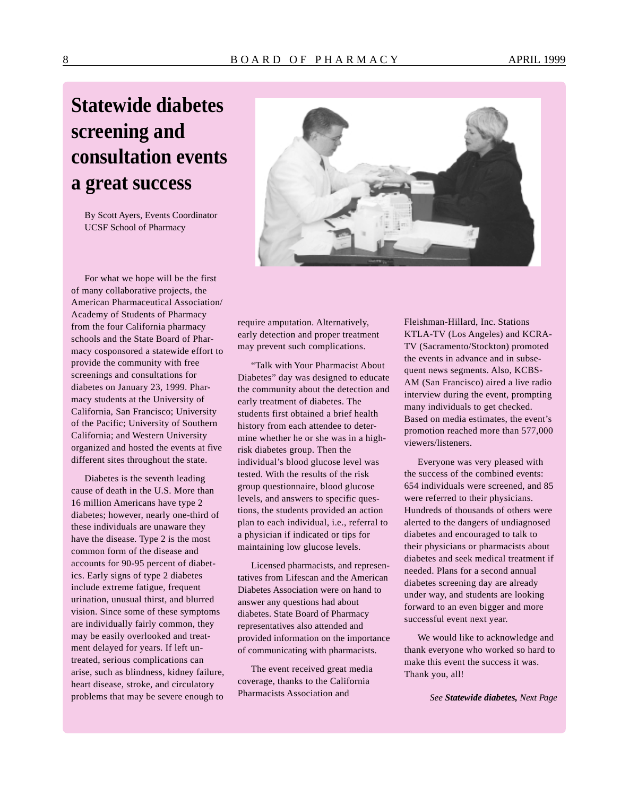### 8 BOARD OF PHARMACY APRIL 1999

## **Statewide diabetes screening and consultation events a great success**

By Scott Ayers, Events Coordinator UCSF School of Pharmacy



For what we hope will be the first of many collaborative projects, the American Pharmaceutical Association/ Academy of Students of Pharmacy from the four California pharmacy schools and the State Board of Pharmacy cosponsored a statewide effort to provide the community with free screenings and consultations for diabetes on January 23, 1999. Pharmacy students at the University of California, San Francisco; University of the Pacific; University of Southern California; and Western University organized and hosted the events at five different sites throughout the state.

Diabetes is the seventh leading cause of death in the U.S. More than 16 million Americans have type 2 diabetes; however, nearly one-third of these individuals are unaware they have the disease. Type 2 is the most common form of the disease and accounts for 90-95 percent of diabetics. Early signs of type 2 diabetes include extreme fatigue, frequent urination, unusual thirst, and blurred vision. Since some of these symptoms are individually fairly common, they may be easily overlooked and treatment delayed for years. If left untreated, serious complications can arise, such as blindness, kidney failure, heart disease, stroke, and circulatory problems that may be severe enough to

require amputation. Alternatively, early detection and proper treatment may prevent such complications.

"Talk with Your Pharmacist About Diabetes" day was designed to educate the community about the detection and early treatment of diabetes. The students first obtained a brief health history from each attendee to determine whether he or she was in a highrisk diabetes group. Then the individual's blood glucose level was tested. With the results of the risk group questionnaire, blood glucose levels, and answers to specific questions, the students provided an action plan to each individual, i.e., referral to a physician if indicated or tips for maintaining low glucose levels.

Licensed pharmacists, and representatives from Lifescan and the American Diabetes Association were on hand to answer any questions had about diabetes. State Board of Pharmacy representatives also attended and provided information on the importance of communicating with pharmacists.

The event received great media coverage, thanks to the California Pharmacists Association and

Fleishman-Hillard, Inc. Stations KTLA-TV (Los Angeles) and KCRA-TV (Sacramento/Stockton) promoted the events in advance and in subsequent news segments. Also, KCBS-AM (San Francisco) aired a live radio interview during the event, prompting many individuals to get checked. Based on media estimates, the event's promotion reached more than 577,000 viewers/listeners.

Everyone was very pleased with the success of the combined events: 654 individuals were screened, and 85 were referred to their physicians. Hundreds of thousands of others were alerted to the dangers of undiagnosed diabetes and encouraged to talk to their physicians or pharmacists about diabetes and seek medical treatment if needed. Plans for a second annual diabetes screening day are already under way, and students are looking forward to an even bigger and more successful event next year.

We would like to acknowledge and thank everyone who worked so hard to make this event the success it was. Thank you, all!

*See Statewide diabetes, Next Page*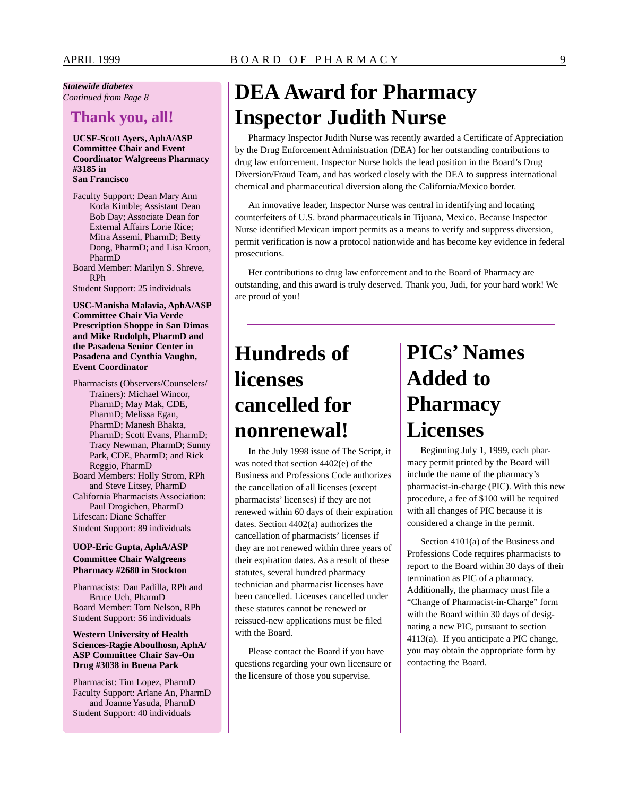### *Statewide diabetes*

### **Thank you, all!**

#### **UCSF-Scott Ayers, AphA/ASP Committee Chair and Event Coordinator Walgreens Pharmacy #3185 in San Francisco**

- Faculty Support: Dean Mary Ann Koda Kimble; Assistant Dean Bob Day; Associate Dean for External Affairs Lorie Rice; Mitra Assemi, PharmD; Betty Dong, PharmD; and Lisa Kroon, PharmD
- Board Member: Marilyn S. Shreve, RPh

Student Support: 25 individuals

#### **USC-Manisha Malavia, AphA/ASP Committee Chair Via Verde Prescription Shoppe in San Dimas and Mike Rudolph, PharmD and the Pasadena Senior Center in Pasadena and Cynthia Vaughn, Event Coordinator**

Pharmacists (Observers/Counselers/ Trainers): Michael Wincor, PharmD; May Mak, CDE, PharmD; Melissa Egan, PharmD; Manesh Bhakta, PharmD; Scott Evans, PharmD; Tracy Newman, PharmD; Sunny Park, CDE, PharmD; and Rick Reggio, PharmD Board Members: Holly Strom, RPh and Steve Litsey, PharmD California Pharmacists Association: Paul Drogichen, PharmD Lifescan: Diane Schaffer

Student Support: 89 individuals

#### **UOP-Eric Gupta, AphA/ASP Committee Chair Walgreens Pharmacy #2680 in Stockton**

Pharmacists: Dan Padilla, RPh and Bruce Uch, PharmD Board Member: Tom Nelson, RPh Student Support: 56 individuals

#### **Western University of Health Sciences-Ragie Aboulhosn, AphA/ ASP Committee Chair Sav-On Drug #3038 in Buena Park**

Pharmacist: Tim Lopez, PharmD Faculty Support: Arlane An, PharmD and Joanne Yasuda, PharmD Student Support: 40 individuals

## *Continued from Page 8* **DEA Award for Pharmacy Inspector Judith Nurse**

Pharmacy Inspector Judith Nurse was recently awarded a Certificate of Appreciation by the Drug Enforcement Administration (DEA) for her outstanding contributions to drug law enforcement. Inspector Nurse holds the lead position in the Board's Drug Diversion/Fraud Team, and has worked closely with the DEA to suppress international chemical and pharmaceutical diversion along the California/Mexico border.

An innovative leader, Inspector Nurse was central in identifying and locating counterfeiters of U.S. brand pharmaceuticals in Tijuana, Mexico. Because Inspector Nurse identified Mexican import permits as a means to verify and suppress diversion, permit verification is now a protocol nationwide and has become key evidence in federal prosecutions.

Her contributions to drug law enforcement and to the Board of Pharmacy are outstanding, and this award is truly deserved. Thank you, Judi, for your hard work! We are proud of you!

### **Hundreds of licenses cancelled for nonrenewal!**

In the July 1998 issue of The Script, it was noted that section 4402(e) of the Business and Professions Code authorizes the cancellation of all licenses (except pharmacists' licenses) if they are not renewed within 60 days of their expiration dates. Section 4402(a) authorizes the cancellation of pharmacists' licenses if they are not renewed within three years of their expiration dates. As a result of these statutes, several hundred pharmacy technician and pharmacist licenses have been cancelled. Licenses cancelled under these statutes cannot be renewed or reissued-new applications must be filed with the Board.

Please contact the Board if you have questions regarding your own licensure or the licensure of those you supervise.

# **PICs' Names Added to Pharmacy Licenses**

Beginning July 1, 1999, each pharmacy permit printed by the Board will include the name of the pharmacy's pharmacist-in-charge (PIC). With this new procedure, a fee of \$100 will be required with all changes of PIC because it is considered a change in the permit.

Section 4101(a) of the Business and Professions Code requires pharmacists to report to the Board within 30 days of their termination as PIC of a pharmacy. Additionally, the pharmacy must file a "Change of Pharmacist-in-Charge" form with the Board within 30 days of designating a new PIC, pursuant to section 4113(a). If you anticipate a PIC change, you may obtain the appropriate form by contacting the Board.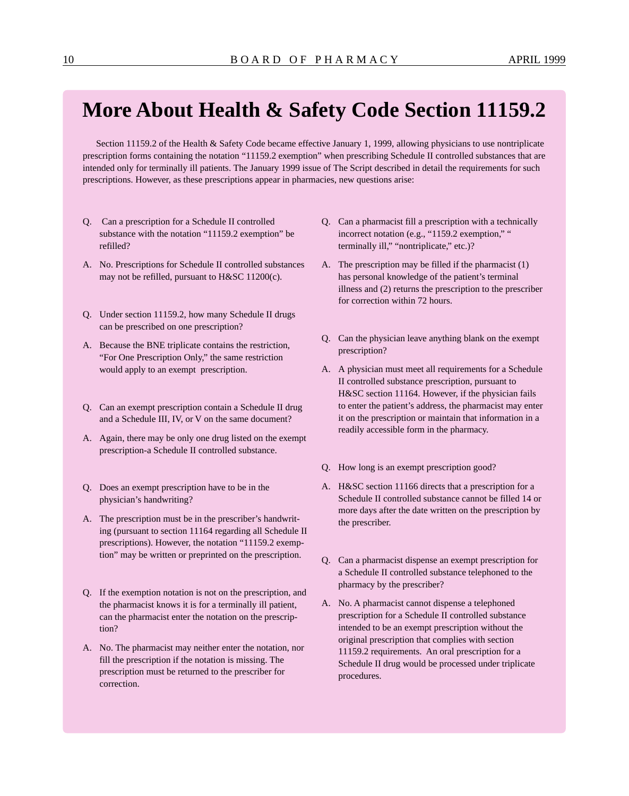### **More About Health & Safety Code Section 11159.2**

Section 11159.2 of the Health & Safety Code became effective January 1, 1999, allowing physicians to use nontriplicate prescription forms containing the notation "11159.2 exemption" when prescribing Schedule II controlled substances that are intended only for terminally ill patients. The January 1999 issue of The Script described in detail the requirements for such prescriptions. However, as these prescriptions appear in pharmacies, new questions arise:

- Q. Can a prescription for a Schedule II controlled substance with the notation "11159.2 exemption" be refilled?
- A. No. Prescriptions for Schedule II controlled substances may not be refilled, pursuant to H&SC 11200(c).
- Q. Under section 11159.2, how many Schedule II drugs can be prescribed on one prescription?
- A. Because the BNE triplicate contains the restriction, "For One Prescription Only," the same restriction would apply to an exempt prescription.
- Q. Can an exempt prescription contain a Schedule II drug and a Schedule III, IV, or V on the same document?
- A. Again, there may be only one drug listed on the exempt prescription-a Schedule II controlled substance.
- Q. Does an exempt prescription have to be in the physician's handwriting?
- A. The prescription must be in the prescriber's handwriting (pursuant to section 11164 regarding all Schedule II prescriptions). However, the notation "11159.2 exemption" may be written or preprinted on the prescription.
- Q. If the exemption notation is not on the prescription, and the pharmacist knows it is for a terminally ill patient, can the pharmacist enter the notation on the prescription?
- A. No. The pharmacist may neither enter the notation, nor fill the prescription if the notation is missing. The prescription must be returned to the prescriber for correction.
- Q. Can a pharmacist fill a prescription with a technically incorrect notation (e.g., "1159.2 exemption," " terminally ill," "nontriplicate," etc.)?
- A. The prescription may be filled if the pharmacist (1) has personal knowledge of the patient's terminal illness and (2) returns the prescription to the prescriber for correction within 72 hours.
- Q. Can the physician leave anything blank on the exempt prescription?
- A. A physician must meet all requirements for a Schedule II controlled substance prescription, pursuant to H&SC section 11164. However, if the physician fails to enter the patient's address, the pharmacist may enter it on the prescription or maintain that information in a readily accessible form in the pharmacy.
- Q. How long is an exempt prescription good?
- A. H&SC section 11166 directs that a prescription for a Schedule II controlled substance cannot be filled 14 or more days after the date written on the prescription by the prescriber.
- Q. Can a pharmacist dispense an exempt prescription for a Schedule II controlled substance telephoned to the pharmacy by the prescriber?
- A. No. A pharmacist cannot dispense a telephoned prescription for a Schedule II controlled substance intended to be an exempt prescription without the original prescription that complies with section 11159.2 requirements. An oral prescription for a Schedule II drug would be processed under triplicate procedures.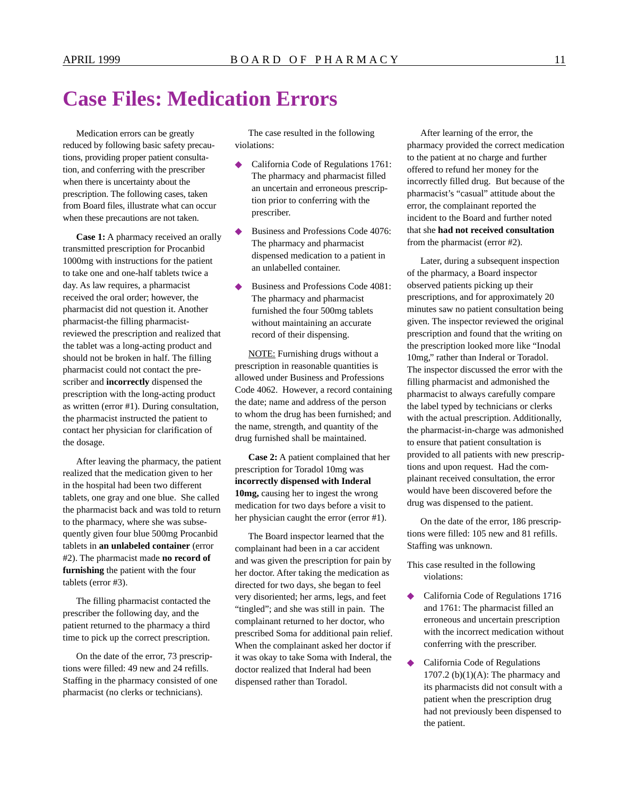### **Case Files: Medication Errors**

Medication errors can be greatly reduced by following basic safety precautions, providing proper patient consultation, and conferring with the prescriber when there is uncertainty about the prescription. The following cases, taken from Board files, illustrate what can occur when these precautions are not taken.

**Case 1:** A pharmacy received an orally transmitted prescription for Procanbid 1000mg with instructions for the patient to take one and one-half tablets twice a day. As law requires, a pharmacist received the oral order; however, the pharmacist did not question it. Another pharmacist-the filling pharmacistreviewed the prescription and realized that the tablet was a long-acting product and should not be broken in half. The filling pharmacist could not contact the prescriber and **incorrectly** dispensed the prescription with the long-acting product as written (error #1). During consultation, the pharmacist instructed the patient to contact her physician for clarification of the dosage.

After leaving the pharmacy, the patient realized that the medication given to her in the hospital had been two different tablets, one gray and one blue. She called the pharmacist back and was told to return to the pharmacy, where she was subsequently given four blue 500mg Procanbid tablets in **an unlabeled container** (error #2). The pharmacist made **no record of furnishing** the patient with the four tablets (error #3).

The filling pharmacist contacted the prescriber the following day, and the patient returned to the pharmacy a third time to pick up the correct prescription.

On the date of the error, 73 prescriptions were filled: 49 new and 24 refills. Staffing in the pharmacy consisted of one pharmacist (no clerks or technicians).

The case resulted in the following violations:

- California Code of Regulations 1761: The pharmacy and pharmacist filled an uncertain and erroneous prescription prior to conferring with the prescriber.
- Business and Professions Code 4076: The pharmacy and pharmacist dispensed medication to a patient in an unlabelled container.
- Business and Professions Code 4081: The pharmacy and pharmacist furnished the four 500mg tablets without maintaining an accurate record of their dispensing.

NOTE: Furnishing drugs without a prescription in reasonable quantities is allowed under Business and Professions Code 4062. However, a record containing the date; name and address of the person to whom the drug has been furnished; and the name, strength, and quantity of the drug furnished shall be maintained.

**Case 2:** A patient complained that her prescription for Toradol 10mg was **incorrectly dispensed with Inderal 10mg,** causing her to ingest the wrong medication for two days before a visit to her physician caught the error (error #1).

The Board inspector learned that the complainant had been in a car accident and was given the prescription for pain by her doctor. After taking the medication as directed for two days, she began to feel very disoriented; her arms, legs, and feet "tingled"; and she was still in pain. The complainant returned to her doctor, who prescribed Soma for additional pain relief. When the complainant asked her doctor if it was okay to take Soma with Inderal, the doctor realized that Inderal had been dispensed rather than Toradol.

After learning of the error, the pharmacy provided the correct medication to the patient at no charge and further offered to refund her money for the incorrectly filled drug. But because of the pharmacist's "casual" attitude about the error, the complainant reported the incident to the Board and further noted that she **had not received consultation**  from the pharmacist (error #2).

Later, during a subsequent inspection of the pharmacy, a Board inspector observed patients picking up their prescriptions, and for approximately 20 minutes saw no patient consultation being given. The inspector reviewed the original prescription and found that the writing on the prescription looked more like "Inodal 10mg," rather than Inderal or Toradol. The inspector discussed the error with the filling pharmacist and admonished the pharmacist to always carefully compare the label typed by technicians or clerks with the actual prescription. Additionally, the pharmacist-in-charge was admonished to ensure that patient consultation is provided to all patients with new prescriptions and upon request. Had the complainant received consultation, the error would have been discovered before the drug was dispensed to the patient.

On the date of the error, 186 prescriptions were filled: 105 new and 81 refills. Staffing was unknown.

- This case resulted in the following violations:
- ◆ California Code of Regulations 1716 and 1761: The pharmacist filled an erroneous and uncertain prescription with the incorrect medication without conferring with the prescriber.
- ◆ California Code of Regulations 1707.2 (b) $(1)(A)$ : The pharmacy and its pharmacists did not consult with a patient when the prescription drug had not previously been dispensed to the patient.